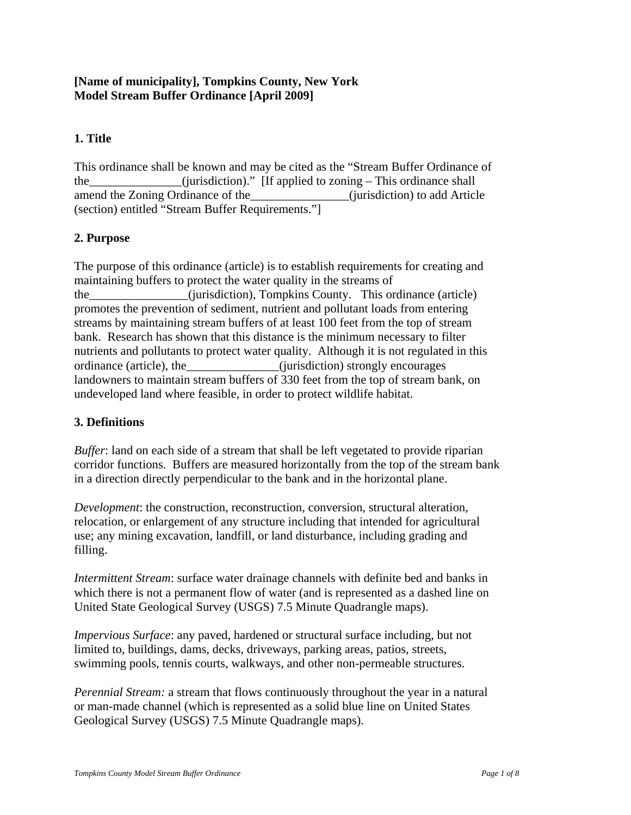# **[Name of municipality], Tompkins County, New York Model Stream Buffer Ordinance [April 2009]**

# **1. Title**

This ordinance shall be known and may be cited as the "Stream Buffer Ordinance of the\_\_\_\_\_\_\_\_\_\_\_\_\_\_\_(jurisdiction)." [If applied to zoning – This ordinance shall amend the Zoning Ordinance of the\_\_\_\_\_\_\_\_\_\_\_\_\_\_\_\_(jurisdiction) to add Article (section) entitled "Stream Buffer Requirements."]

# **2. Purpose**

The purpose of this ordinance (article) is to establish requirements for creating and maintaining buffers to protect the water quality in the streams of the\_\_\_\_\_\_\_\_\_\_\_\_\_\_\_\_(jurisdiction), Tompkins County. This ordinance (article) promotes the prevention of sediment, nutrient and pollutant loads from entering streams by maintaining stream buffers of at least 100 feet from the top of stream bank. Research has shown that this distance is the minimum necessary to filter nutrients and pollutants to protect water quality. Although it is not regulated in this ordinance (article), the *\_\_\_\_\_\_\_\_\_\_\_\_\_\_\_\_\_(jurisdiction)* strongly encourages landowners to maintain stream buffers of 330 feet from the top of stream bank, on undeveloped land where feasible, in order to protect wildlife habitat.

# **3. Definitions**

*Buffer*: land on each side of a stream that shall be left vegetated to provide riparian corridor functions. Buffers are measured horizontally from the top of the stream bank in a direction directly perpendicular to the bank and in the horizontal plane.

*Development*: the construction, reconstruction, conversion, structural alteration, relocation, or enlargement of any structure including that intended for agricultural use; any mining excavation, landfill, or land disturbance, including grading and filling.

*Intermittent Stream*: surface water drainage channels with definite bed and banks in which there is not a permanent flow of water (and is represented as a dashed line on United State Geological Survey (USGS) 7.5 Minute Quadrangle maps).

*Impervious Surface*: any paved, hardened or structural surface including, but not limited to, buildings, dams, decks, driveways, parking areas, patios, streets, swimming pools, tennis courts, walkways, and other non-permeable structures.

*Perennial Stream:* a stream that flows continuously throughout the year in a natural or man-made channel (which is represented as a solid blue line on United States Geological Survey (USGS) 7.5 Minute Quadrangle maps).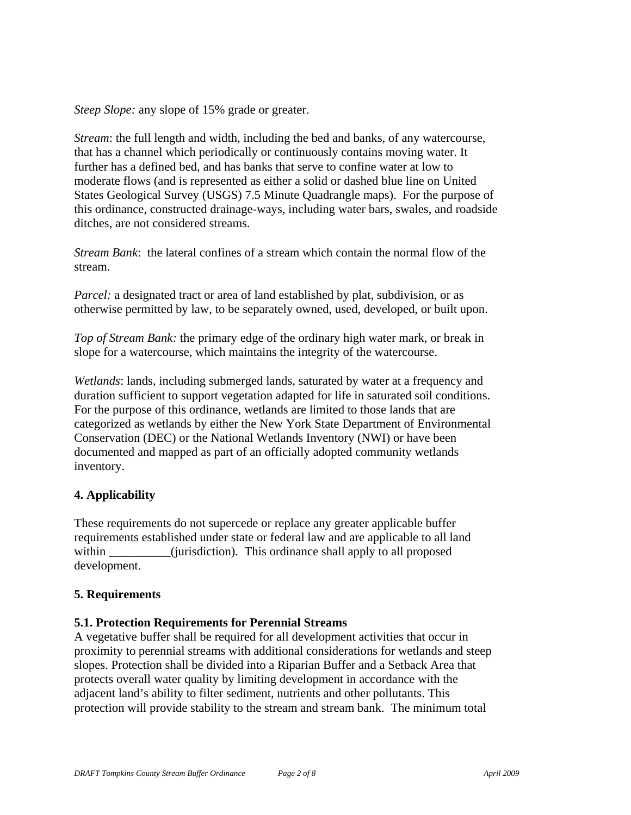*Steep Slope:* any slope of 15% grade or greater.

*Stream*: the full length and width, including the bed and banks, of any watercourse, that has a channel which periodically or continuously contains moving water. It further has a defined bed, and has banks that serve to confine water at low to moderate flows (and is represented as either a solid or dashed blue line on United States Geological Survey (USGS) 7.5 Minute Quadrangle maps). For the purpose of this ordinance, constructed drainage-ways, including water bars, swales, and roadside ditches, are not considered streams.

*Stream Bank*: the lateral confines of a stream which contain the normal flow of the stream.

*Parcel:* a designated tract or area of land established by plat, subdivision, or as otherwise permitted by law, to be separately owned, used, developed, or built upon.

*Top of Stream Bank:* the primary edge of the ordinary high water mark, or break in slope for a watercourse, which maintains the integrity of the watercourse.

*Wetlands*: lands, including submerged lands, saturated by water at a frequency and duration sufficient to support vegetation adapted for life in saturated soil conditions. For the purpose of this ordinance, wetlands are limited to those lands that are categorized as wetlands by either the New York State Department of Environmental Conservation (DEC) or the National Wetlands Inventory (NWI) or have been documented and mapped as part of an officially adopted community wetlands inventory.

### **4. Applicability**

These requirements do not supercede or replace any greater applicable buffer requirements established under state or federal law and are applicable to all land within (jurisdiction). This ordinance shall apply to all proposed development.

### **5. Requirements**

### **5.1. Protection Requirements for Perennial Streams**

A vegetative buffer shall be required for all development activities that occur in proximity to perennial streams with additional considerations for wetlands and steep slopes. Protection shall be divided into a Riparian Buffer and a Setback Area that protects overall water quality by limiting development in accordance with the adjacent land's ability to filter sediment, nutrients and other pollutants. This protection will provide stability to the stream and stream bank. The minimum total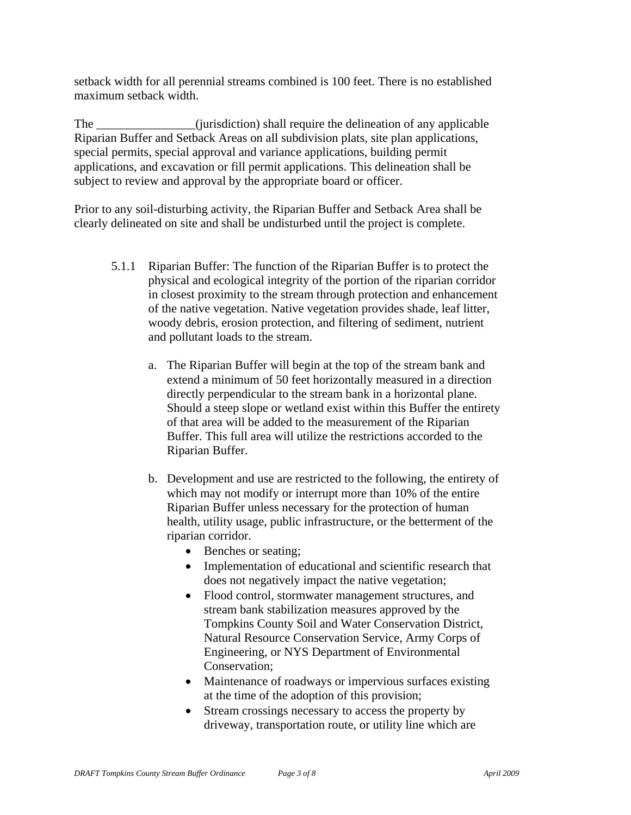setback width for all perennial streams combined is 100 feet. There is no established maximum setback width.

The \_\_\_\_\_\_\_\_\_\_\_\_\_\_(jurisdiction) shall require the delineation of any applicable Riparian Buffer and Setback Areas on all subdivision plats, site plan applications, special permits, special approval and variance applications, building permit applications, and excavation or fill permit applications. This delineation shall be subject to review and approval by the appropriate board or officer.

Prior to any soil-disturbing activity, the Riparian Buffer and Setback Area shall be clearly delineated on site and shall be undisturbed until the project is complete.

- 5.1.1 Riparian Buffer: The function of the Riparian Buffer is to protect the physical and ecological integrity of the portion of the riparian corridor in closest proximity to the stream through protection and enhancement of the native vegetation. Native vegetation provides shade, leaf litter, woody debris, erosion protection, and filtering of sediment, nutrient and pollutant loads to the stream.
	- a. The Riparian Buffer will begin at the top of the stream bank and extend a minimum of 50 feet horizontally measured in a direction directly perpendicular to the stream bank in a horizontal plane. Should a steep slope or wetland exist within this Buffer the entirety of that area will be added to the measurement of the Riparian Buffer. This full area will utilize the restrictions accorded to the Riparian Buffer.
	- b. Development and use are restricted to the following, the entirety of which may not modify or interrupt more than 10% of the entire Riparian Buffer unless necessary for the protection of human health, utility usage, public infrastructure, or the betterment of the riparian corridor.
		- Benches or seating;
		- Implementation of educational and scientific research that does not negatively impact the native vegetation;
		- Flood control, stormwater management structures, and stream bank stabilization measures approved by the Tompkins County Soil and Water Conservation District, Natural Resource Conservation Service, Army Corps of Engineering, or NYS Department of Environmental Conservation;
		- Maintenance of roadways or impervious surfaces existing at the time of the adoption of this provision;
		- Stream crossings necessary to access the property by driveway, transportation route, or utility line which are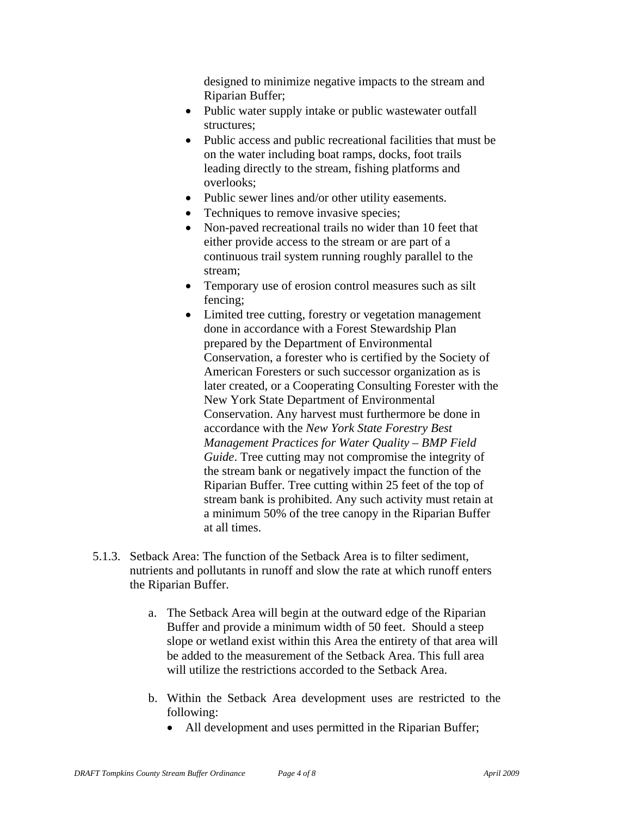designed to minimize negative impacts to the stream and Riparian Buffer;

- Public water supply intake or public wastewater outfall structures;
- Public access and public recreational facilities that must be on the water including boat ramps, docks, foot trails leading directly to the stream, fishing platforms and overlooks;
- Public sewer lines and/or other utility easements.
- Techniques to remove invasive species;
- Non-paved recreational trails no wider than 10 feet that either provide access to the stream or are part of a continuous trail system running roughly parallel to the stream;
- Temporary use of erosion control measures such as silt fencing;
- Limited tree cutting, forestry or vegetation management done in accordance with a Forest Stewardship Plan prepared by the Department of Environmental Conservation, a forester who is certified by the Society of American Foresters or such successor organization as is later created, or a Cooperating Consulting Forester with the New York State Department of Environmental Conservation. Any harvest must furthermore be done in accordance with the *New York State Forestry Best Management Practices for Water Quality – BMP Field Guide*. Tree cutting may not compromise the integrity of the stream bank or negatively impact the function of the Riparian Buffer. Tree cutting within 25 feet of the top of stream bank is prohibited. Any such activity must retain at a minimum 50% of the tree canopy in the Riparian Buffer at all times.
- 5.1.3. Setback Area: The function of the Setback Area is to filter sediment, nutrients and pollutants in runoff and slow the rate at which runoff enters the Riparian Buffer.
	- a. The Setback Area will begin at the outward edge of the Riparian Buffer and provide a minimum width of 50 feet. Should a steep slope or wetland exist within this Area the entirety of that area will be added to the measurement of the Setback Area. This full area will utilize the restrictions accorded to the Setback Area.
	- b. Within the Setback Area development uses are restricted to the following:
		- All development and uses permitted in the Riparian Buffer;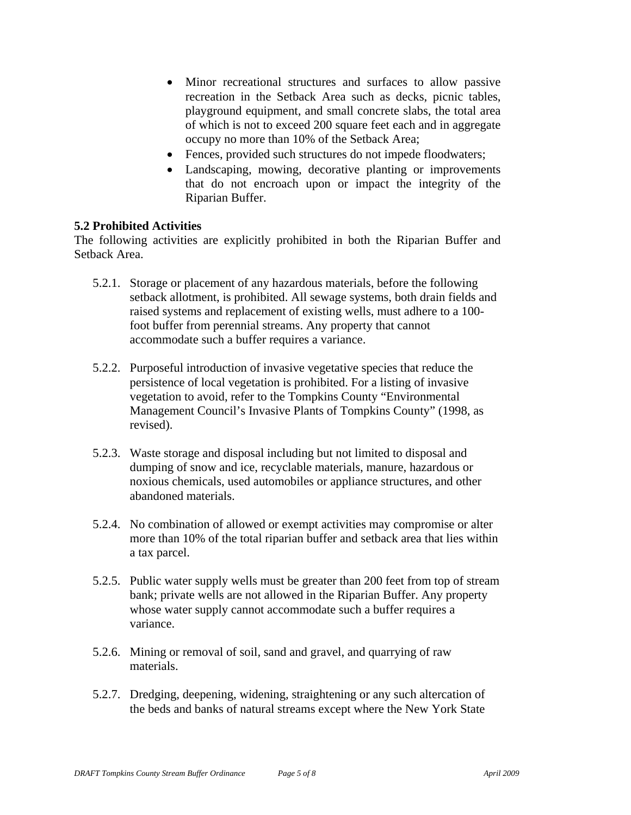- Minor recreational structures and surfaces to allow passive recreation in the Setback Area such as decks, picnic tables, playground equipment, and small concrete slabs, the total area of which is not to exceed 200 square feet each and in aggregate occupy no more than 10% of the Setback Area;
- Fences, provided such structures do not impede floodwaters;
- Landscaping, mowing, decorative planting or improvements that do not encroach upon or impact the integrity of the Riparian Buffer.

### **5.2 Prohibited Activities**

The following activities are explicitly prohibited in both the Riparian Buffer and Setback Area.

- 5.2.1. Storage or placement of any hazardous materials, before the following setback allotment, is prohibited. All sewage systems, both drain fields and raised systems and replacement of existing wells, must adhere to a 100 foot buffer from perennial streams. Any property that cannot accommodate such a buffer requires a variance.
- 5.2.2. Purposeful introduction of invasive vegetative species that reduce the persistence of local vegetation is prohibited. For a listing of invasive vegetation to avoid, refer to the Tompkins County "Environmental Management Council's Invasive Plants of Tompkins County" (1998, as revised).
- 5.2.3. Waste storage and disposal including but not limited to disposal and dumping of snow and ice, recyclable materials, manure, hazardous or noxious chemicals, used automobiles or appliance structures, and other abandoned materials.
- 5.2.4. No combination of allowed or exempt activities may compromise or alter more than 10% of the total riparian buffer and setback area that lies within a tax parcel.
- 5.2.5. Public water supply wells must be greater than 200 feet from top of stream bank; private wells are not allowed in the Riparian Buffer. Any property whose water supply cannot accommodate such a buffer requires a variance.
- 5.2.6. Mining or removal of soil, sand and gravel, and quarrying of raw materials.
- 5.2.7. Dredging, deepening, widening, straightening or any such altercation of the beds and banks of natural streams except where the New York State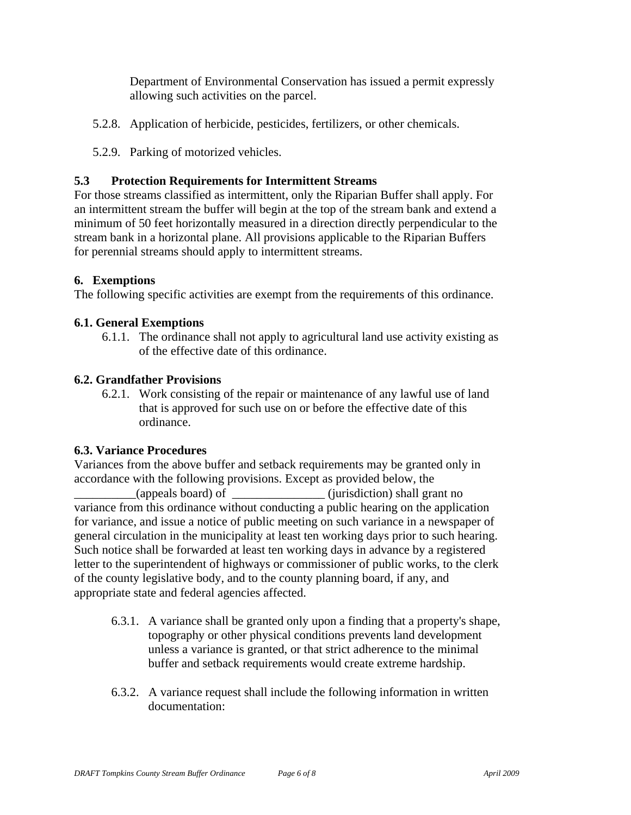Department of Environmental Conservation has issued a permit expressly allowing such activities on the parcel.

- 5.2.8. Application of herbicide, pesticides, fertilizers, or other chemicals.
- 5.2.9. Parking of motorized vehicles.

### **5.3 Protection Requirements for Intermittent Streams**

For those streams classified as intermittent, only the Riparian Buffer shall apply. For an intermittent stream the buffer will begin at the top of the stream bank and extend a minimum of 50 feet horizontally measured in a direction directly perpendicular to the stream bank in a horizontal plane. All provisions applicable to the Riparian Buffers for perennial streams should apply to intermittent streams.

### **6. Exemptions**

The following specific activities are exempt from the requirements of this ordinance.

### **6.1. General Exemptions**

6.1.1. The ordinance shall not apply to agricultural land use activity existing as of the effective date of this ordinance.

### **6.2. Grandfather Provisions**

6.2.1. Work consisting of the repair or maintenance of any lawful use of land that is approved for such use on or before the effective date of this ordinance.

### **6.3. Variance Procedures**

Variances from the above buffer and setback requirements may be granted only in accordance with the following provisions. Except as provided below, the \_\_\_\_\_\_\_\_\_\_(appeals board) of \_\_\_\_\_\_\_\_\_\_\_\_\_\_\_ (jurisdiction) shall grant no variance from this ordinance without conducting a public hearing on the application for variance, and issue a notice of public meeting on such variance in a newspaper of general circulation in the municipality at least ten working days prior to such hearing. Such notice shall be forwarded at least ten working days in advance by a registered letter to the superintendent of highways or commissioner of public works, to the clerk of the county legislative body, and to the county planning board, if any, and appropriate state and federal agencies affected.

- 6.3.1. A variance shall be granted only upon a finding that a property's shape, topography or other physical conditions prevents land development unless a variance is granted, or that strict adherence to the minimal buffer and setback requirements would create extreme hardship.
- 6.3.2. A variance request shall include the following information in written documentation: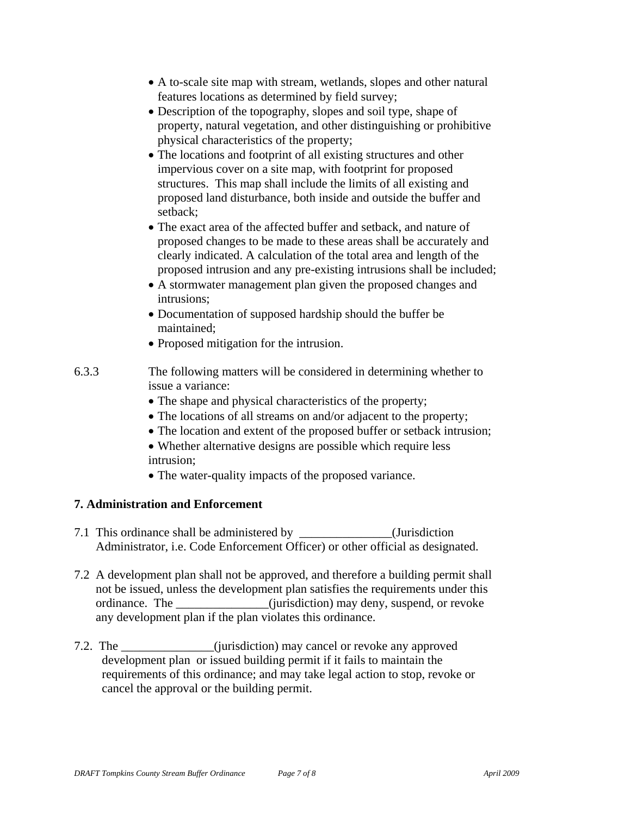- A to-scale site map with stream, wetlands, slopes and other natural features locations as determined by field survey;
- Description of the topography, slopes and soil type, shape of property, natural vegetation, and other distinguishing or prohibitive physical characteristics of the property;
- The locations and footprint of all existing structures and other impervious cover on a site map, with footprint for proposed structures. This map shall include the limits of all existing and proposed land disturbance, both inside and outside the buffer and setback;
- The exact area of the affected buffer and setback, and nature of proposed changes to be made to these areas shall be accurately and clearly indicated. A calculation of the total area and length of the proposed intrusion and any pre-existing intrusions shall be included;
- A stormwater management plan given the proposed changes and intrusions;
- Documentation of supposed hardship should the buffer be maintained;
- Proposed mitigation for the intrusion.
- 6.3.3 The following matters will be considered in determining whether to issue a variance:
	- The shape and physical characteristics of the property;
	- The locations of all streams on and/or adjacent to the property;
	- The location and extent of the proposed buffer or setback intrusion;
	- Whether alternative designs are possible which require less intrusion;
	- The water-quality impacts of the proposed variance.

# **7. Administration and Enforcement**

- 7.1 This ordinance shall be administered by \_\_\_\_\_\_\_\_\_\_\_\_\_\_\_(Jurisdiction Administrator, i.e. Code Enforcement Officer) or other official as designated.
- 7.2 A development plan shall not be approved, and therefore a building permit shall not be issued, unless the development plan satisfies the requirements under this ordinance. The \_\_\_\_\_\_\_\_\_\_\_\_\_\_\_(jurisdiction) may deny, suspend, or revoke any development plan if the plan violates this ordinance.
- 7.2. The contraction is equivalent (jurisdiction) may cancel or revoke any approved development plan or issued building permit if it fails to maintain the requirements of this ordinance; and may take legal action to stop, revoke or cancel the approval or the building permit.